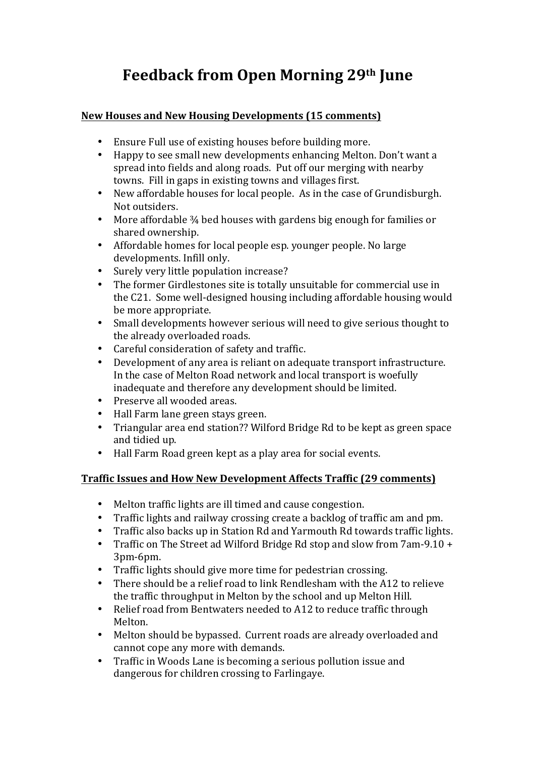# **Feedback from Open Morning 29th June**

## **New Houses and New Housing Developments (15 comments)**

- Ensure Full use of existing houses before building more.
- Happy to see small new developments enhancing Melton. Don't want a spread into fields and along roads. Put off our merging with nearby towns. Fill in gaps in existing towns and villages first.
- New affordable houses for local people. As in the case of Grundisburgh. Not outsiders.
- More affordable  $\frac{3}{4}$  bed houses with gardens big enough for families or shared ownership.
- Affordable homes for local people esp. younger people. No large developments. Infill only.
- Surely very little population increase?
- The former Girdlestones site is totally unsuitable for commercial use in the C21. Some well-designed housing including affordable housing would be more appropriate.
- Small developments however serious will need to give serious thought to the already overloaded roads.
- Careful consideration of safety and traffic.
- Development of any area is reliant on adequate transport infrastructure. In the case of Melton Road network and local transport is woefully inadequate and therefore any development should be limited.
- Preserve all wooded areas.
- Hall Farm lane green stays green.
- Triangular area end station?? Wilford Bridge Rd to be kept as green space and tidied up.
- Hall Farm Road green kept as a play area for social events.

# **Traffic Issues and How New Development Affects Traffic (29 comments)**

- Melton traffic lights are ill timed and cause congestion.
- Traffic lights and railway crossing create a backlog of traffic am and pm.
- Traffic also backs up in Station Rd and Yarmouth Rd towards traffic lights.
- Traffic on The Street ad Wilford Bridge Rd stop and slow from  $7$ am-9.10 + 3pm-6pm.
- Traffic lights should give more time for pedestrian crossing.
- There should be a relief road to link Rendlesham with the A12 to relieve the traffic throughput in Melton by the school and up Melton Hill.
- Relief road from Bentwaters needed to A12 to reduce traffic through Melton.
- Melton should be bypassed. Current roads are already overloaded and cannot cope any more with demands.
- Traffic in Woods Lane is becoming a serious pollution issue and dangerous for children crossing to Farlingaye.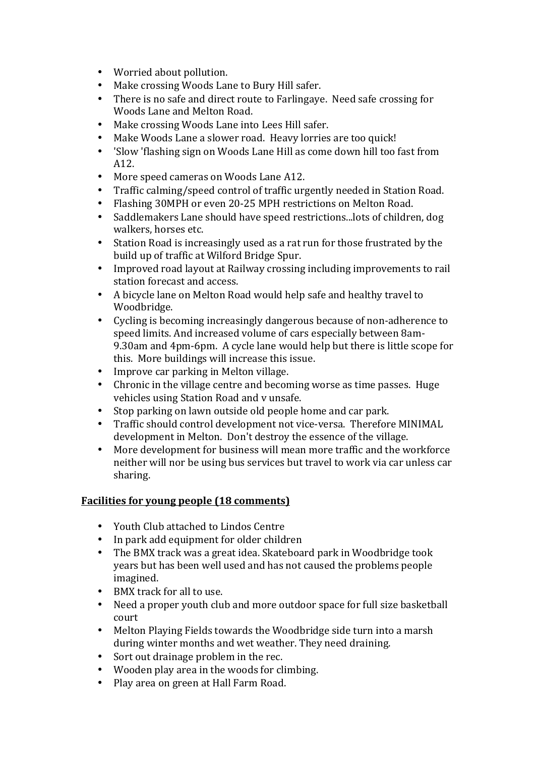- Worried about pollution.
- Make crossing Woods Lane to Bury Hill safer.
- There is no safe and direct route to Farlingaye. Need safe crossing for Woods Lane and Melton Road.
- Make crossing Woods Lane into Lees Hill safer.
- Make Woods Lane a slower road. Heavy lorries are too quick!
- 'Slow 'flashing sign on Woods Lane Hill as come down hill too fast from A12.
- More speed cameras on Woods Lane A12.
- Traffic calming/speed control of traffic urgently needed in Station Road.
- Flashing 30MPH or even 20-25 MPH restrictions on Melton Road.
- Saddlemakers Lane should have speed restrictions...lots of children, dog walkers, horses etc.
- Station Road is increasingly used as a rat run for those frustrated by the build up of traffic at Wilford Bridge Spur.
- Improved road layout at Railway crossing including improvements to rail station forecast and access.
- A bicycle lane on Melton Road would help safe and healthy travel to Woodbridge.
- Cycling is becoming increasingly dangerous because of non-adherence to speed limits. And increased volume of cars especially between 8am-9.30am and 4pm-6pm. A cycle lane would help but there is little scope for this. More buildings will increase this issue.
- Improve car parking in Melton village.
- Chronic in the village centre and becoming worse as time passes. Huge vehicles using Station Road and v unsafe.
- Stop parking on lawn outside old people home and car park.
- Traffic should control development not vice-versa. Therefore MINIMAL development in Melton. Don't destroy the essence of the village.
- More development for business will mean more traffic and the workforce neither will nor be using bus services but travel to work via car unless car sharing.

# **Facilities for young people (18 comments)**

- Youth Club attached to Lindos Centre
- In park add equipment for older children
- The BMX track was a great idea. Skateboard park in Woodbridge took years but has been well used and has not caused the problems people imagined.
- BMX track for all to use.
- Need a proper youth club and more outdoor space for full size basketball court
- Melton Playing Fields towards the Woodbridge side turn into a marsh during winter months and wet weather. They need draining.
- Sort out drainage problem in the rec.
- Wooden play area in the woods for climbing.
- Play area on green at Hall Farm Road.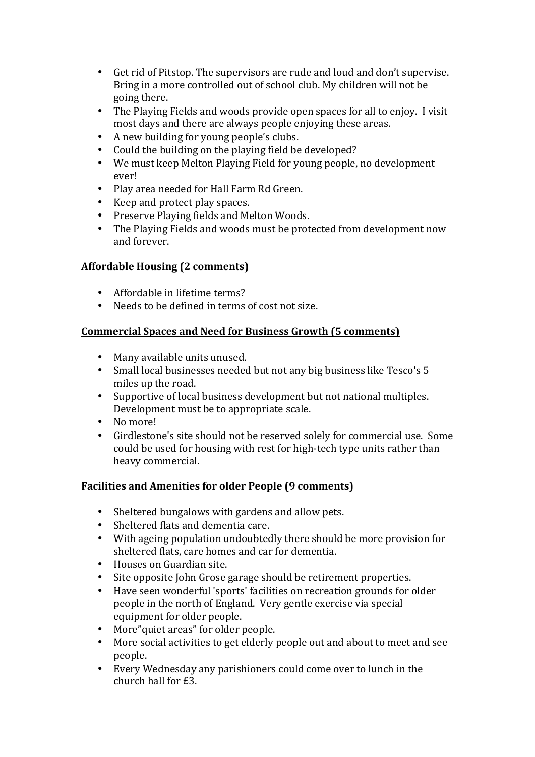- Get rid of Pitstop. The supervisors are rude and loud and don't supervise. Bring in a more controlled out of school club. My children will not be going there.
- The Playing Fields and woods provide open spaces for all to enjoy. I visit most days and there are always people enjoying these areas.
- A new building for young people's clubs.
- Could the building on the playing field be developed?
- We must keep Melton Playing Field for young people, no development ever!
- Play area needed for Hall Farm Rd Green.
- Keep and protect play spaces.
- Preserve Playing fields and Melton Woods.
- The Playing Fields and woods must be protected from development now and forever.

### **Affordable Housing (2 comments)**

- Affordable in lifetime terms?
- Needs to be defined in terms of cost not size.

### **Commercial Spaces and Need for Business Growth (5 comments)**

- Many available units unused.
- Small local businesses needed but not any big business like Tesco's 5 miles up the road.
- Supportive of local business development but not national multiples. Development must be to appropriate scale.
- No more!
- Girdlestone's site should not be reserved solely for commercial use. Some could be used for housing with rest for high-tech type units rather than heavy commercial.

# **Facilities and Amenities for older People (9 comments)**

- Sheltered bungalows with gardens and allow pets.
- Sheltered flats and dementia care.
- With ageing population undoubtedly there should be more provision for sheltered flats, care homes and car for dementia.
- Houses on Guardian site.
- Site opposite John Grose garage should be retirement properties.
- Have seen wonderful 'sports' facilities on recreation grounds for older people in the north of England. Very gentle exercise via special equipment for older people.
- More" quiet areas" for older people.
- More social activities to get elderly people out and about to meet and see people.
- Every Wednesday any parishioners could come over to lunch in the church hall for £3.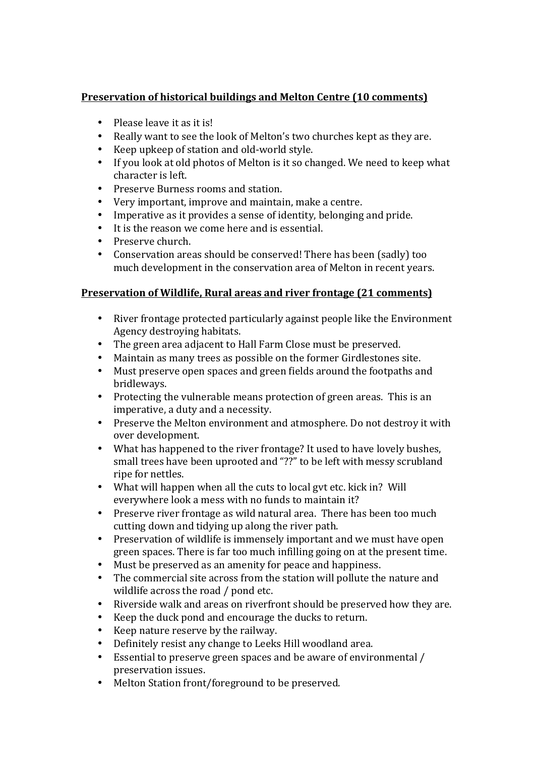## **Preservation of historical buildings and Melton Centre (10 comments)**

- Please leave it as it is!
- Really want to see the look of Melton's two churches kept as they are.
- Keep upkeep of station and old-world style.
- If you look at old photos of Melton is it so changed. We need to keep what character is left.
- Preserve Burness rooms and station.
- Very important, improve and maintain, make a centre.
- Imperative as it provides a sense of identity, belonging and pride.
- It is the reason we come here and is essential.
- Preserve church.
- Conservation areas should be conserved! There has been (sadly) too much development in the conservation area of Melton in recent vears.

#### **Preservation of Wildlife, Rural areas and river frontage (21 comments)**

- River frontage protected particularly against people like the Environment Agency destroying habitats.
- The green area adjacent to Hall Farm Close must be preserved.
- Maintain as many trees as possible on the former Girdlestones site.
- Must preserve open spaces and green fields around the footpaths and bridleways.
- Protecting the vulnerable means protection of green areas. This is an imperative, a duty and a necessity.
- Preserve the Melton environment and atmosphere. Do not destroy it with over development.
- What has happened to the river frontage? It used to have lovely bushes, small trees have been uprooted and "??" to be left with messy scrubland ripe for nettles.
- What will happen when all the cuts to local gyt etc. kick in? Will everywhere look a mess with no funds to maintain it?
- Preserve river frontage as wild natural area. There has been too much cutting down and tidying up along the river path.
- Preservation of wildlife is immensely important and we must have open green spaces. There is far too much infilling going on at the present time.
- Must be preserved as an amenity for peace and happiness.
- The commercial site across from the station will pollute the nature and wildlife across the road  $/$  pond etc.
- Riverside walk and areas on riverfront should be preserved how they are.
- Keep the duck pond and encourage the ducks to return.
- Keep nature reserve by the railway.
- Definitely resist any change to Leeks Hill woodland area.
- Essential to preserve green spaces and be aware of environmental / preservation issues.
- Melton Station front/foreground to be preserved.